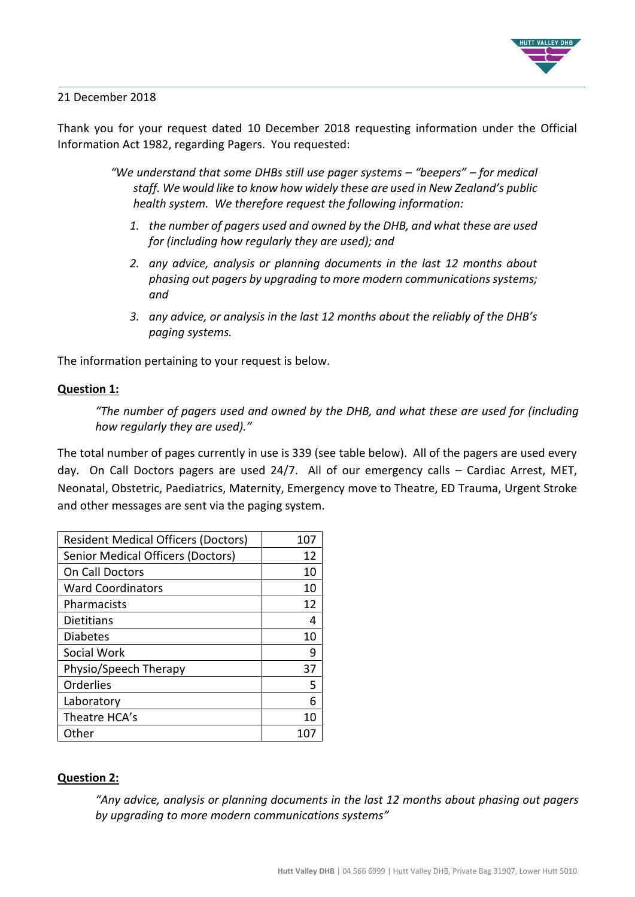

#### 21 December 2018

Thank you for your request dated 10 December 2018 requesting information under the Official Information Act 1982, regarding Pagers. You requested:

> *"We understand that some DHBs still use pager systems – "beepers" – for medical staff. We would like to know how widely these are used in New Zealand's public health system. We therefore request the following information:*

- *1. the number of pagers used and owned by the DHB, and what these are used for (including how regularly they are used); and*
- *2. any advice, analysis or planning documents in the last 12 months about phasing out pagers by upgrading to more modern communications systems; and*
- *3. any advice, or analysis in the last 12 months about the reliably of the DHB's paging systems.*

The information pertaining to your request is below.

#### **Question 1:**

*"The number of pagers used and owned by the DHB, and what these are used for (including how regularly they are used)."*

The total number of pages currently in use is 339 (see table below). All of the pagers are used every day. On Call Doctors pagers are used 24/7. All of our emergency calls – Cardiac Arrest, MET, Neonatal, Obstetric, Paediatrics, Maternity, Emergency move to Theatre, ED Trauma, Urgent Stroke and other messages are sent via the paging system.

| <b>Resident Medical Officers (Doctors)</b> | 107 |
|--------------------------------------------|-----|
| <b>Senior Medical Officers (Doctors)</b>   | 12  |
| <b>On Call Doctors</b>                     | 10  |
| <b>Ward Coordinators</b>                   | 10  |
| Pharmacists                                | 12  |
| Dietitians                                 | 4   |
| <b>Diabetes</b>                            | 10  |
| Social Work                                | q   |
| Physio/Speech Therapy                      | 37  |
| Orderlies                                  | 5   |
| Laboratory                                 | 6   |
| Theatre HCA's                              | 10  |
| Other                                      |     |

### **Question 2:**

*"Any advice, analysis or planning documents in the last 12 months about phasing out pagers by upgrading to more modern communications systems"*